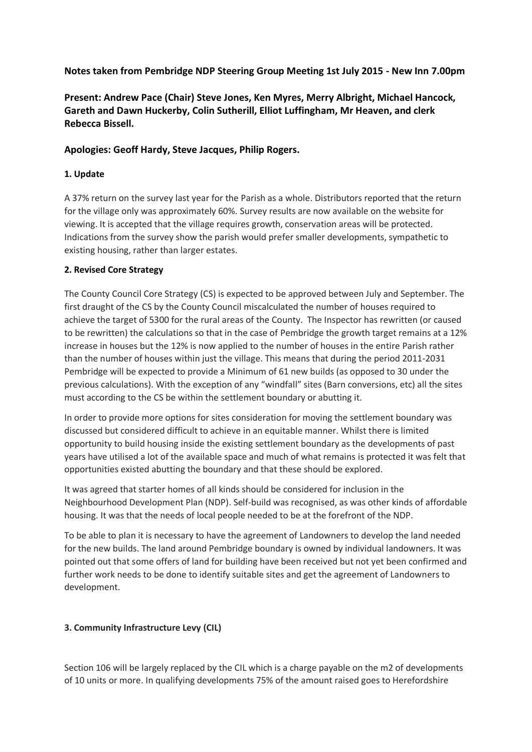# **Notes taken from Pembridge NDP Steering Group Meeting 1st July 2015 - New Inn 7.00pm**

**Present: Andrew Pace (Chair) Steve Jones, Ken Myres, Merry Albright, Michael Hancock, Gareth and Dawn Huckerby, Colin Sutherill, Elliot Luffingham, Mr Heaven, and clerk Rebecca Bissell.**

# **Apologies: Geoff Hardy, Steve Jacques, Philip Rogers.**

# **1. Update**

A 37% return on the survey last year for the Parish as a whole. Distributors reported that the return for the village only was approximately 60%. Survey results are now available on the website for viewing. It is accepted that the village requires growth, conservation areas will be protected. Indications from the survey show the parish would prefer smaller developments, sympathetic to existing housing, rather than larger estates.

### **2. Revised Core Strategy**

The County Council Core Strategy (CS) is expected to be approved between July and September. The first draught of the CS by the County Council miscalculated the number of houses required to achieve the target of 5300 for the rural areas of the County. The Inspector has rewritten (or caused to be rewritten) the calculations so that in the case of Pembridge the growth target remains at a 12% increase in houses but the 12% is now applied to the number of houses in the entire Parish rather than the number of houses within just the village. This means that during the period 2011-2031 Pembridge will be expected to provide a Minimum of 61 new builds (as opposed to 30 under the previous calculations). With the exception of any "windfall" sites (Barn conversions, etc) all the sites must according to the CS be within the settlement boundary or abutting it.

In order to provide more options for sites consideration for moving the settlement boundary was discussed but considered difficult to achieve in an equitable manner. Whilst there is limited opportunity to build housing inside the existing settlement boundary as the developments of past years have utilised a lot of the available space and much of what remains is protected it was felt that opportunities existed abutting the boundary and that these should be explored.

It was agreed that starter homes of all kinds should be considered for inclusion in the Neighbourhood Development Plan (NDP). Self-build was recognised, as was other kinds of affordable housing. It was that the needs of local people needed to be at the forefront of the NDP.

To be able to plan it is necessary to have the agreement of Landowners to develop the land needed for the new builds. The land around Pembridge boundary is owned by individual landowners. It was pointed out that some offers of land for building have been received but not yet been confirmed and further work needs to be done to identify suitable sites and get the agreement of Landowners to development.

### **3. Community Infrastructure Levy (CIL)**

Section 106 will be largely replaced by the CIL which is a charge payable on the m2 of developments of 10 units or more. In qualifying developments 75% of the amount raised goes to Herefordshire